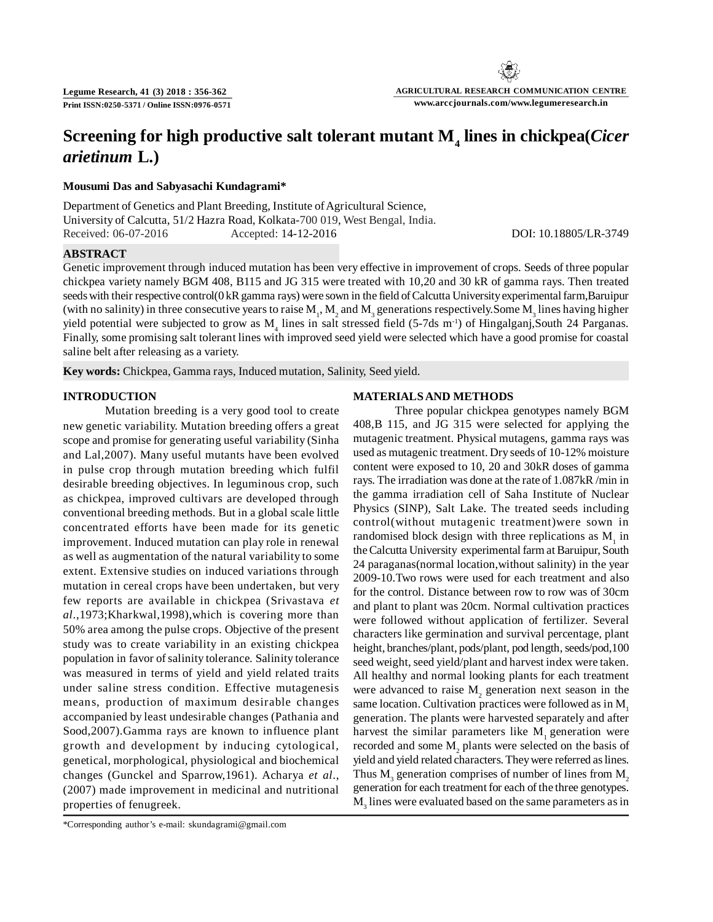# **Screening for high productive salt tolerant mutant M<sup>4</sup> lines in chickpea(***Cicer arietinum* **L.)**

## **Mousumi Das and Sabyasachi Kundagrami\***

Department of Genetics and Plant Breeding, Institute of Agricultural Science, University of Calcutta, 51/2 Hazra Road, Kolkata-700 019, West Bengal, India. Received: 06-07-2016 Accepted: 14-12-2016 DOI: 10.18805/LR-3749

### **ABSTRACT**

Genetic improvement through induced mutation has been very effective in improvement of crops. Seeds of three popular chickpea variety namely BGM 408, B115 and JG 315 were treated with 10,20 and 30 kR of gamma rays. Then treated seeds with their respective control(0 kR gamma rays) were sown in the field of Calcutta University experimental farm,Baruipur (with no salinity) in three consecutive years to raise  $M_1$ ,  $M_2$  and  $M_3$  generations respectively. Some  $M_3$  lines having higher yield potential were subjected to grow as  $M_4$  lines in salt stressed field (5-7ds m<sup>-1</sup>) of Hingalganj,South 24 Parganas. Finally, some promising salt tolerant lines with improved seed yield were selected which have a good promise for coastal saline belt after releasing as a variety.

**Key words:** Chickpea, Gamma rays, Induced mutation, Salinity, Seed yield.

## **INTRODUCTION**

Mutation breeding is a very good tool to create new genetic variability. Mutation breeding offers a great scope and promise for generating useful variability (Sinha and Lal,2007). Many useful mutants have been evolved in pulse crop through mutation breeding which fulfil desirable breeding objectives. In leguminous crop, such as chickpea, improved cultivars are developed through conventional breeding methods. But in a global scale little concentrated efforts have been made for its genetic improvement. Induced mutation can play role in renewal as well as augmentation of the natural variability to some extent. Extensive studies on induced variations through mutation in cereal crops have been undertaken, but very few reports are available in chickpea (Srivastava *et al*.,1973;Kharkwal,1998),which is covering more than 50% area among the pulse crops. Objective of the present study was to create variability in an existing chickpea population in favor of salinity tolerance. Salinity tolerance was measured in terms of yield and yield related traits under saline stress condition. Effective mutagenesis means, production of maximum desirable changes accompanied by least undesirable changes (Pathania and Sood,2007).Gamma rays are known to influence plant growth and development by inducing cytological, genetical, morphological, physiological and biochemical changes (Gunckel and Sparrow,1961). Acharya *et al*., (2007) made improvement in medicinal and nutritional properties of fenugreek.

#### **MATERIALS AND METHODS**

Three popular chickpea genotypes namely BGM 408,B 115, and JG 315 were selected for applying the mutagenic treatment. Physical mutagens, gamma rays was used as mutagenic treatment. Dry seeds of 10-12% moisture content were exposed to 10, 20 and 30kR doses of gamma rays. The irradiation was done at the rate of 1.087kR /min in the gamma irradiation cell of Saha Institute of Nuclear Physics (SINP), Salt Lake. The treated seeds including control(without mutagenic treatment)were sown in randomised block design with three replications as  $M<sub>1</sub>$  in the Calcutta University experimental farm at Baruipur, South 24 paraganas(normal location,without salinity) in the year 2009-10.Two rows were used for each treatment and also for the control. Distance between row to row was of 30cm and plant to plant was 20cm. Normal cultivation practices were followed without application of fertilizer. Several characters like germination and survival percentage, plant height, branches/plant, pods/plant, pod length, seeds/pod,100 seed weight, seed yield/plant and harvest index were taken. All healthy and normal looking plants for each treatment were advanced to raise  $M<sub>2</sub>$  generation next season in the same location. Cultivation practices were followed as in  $M<sub>1</sub>$ generation. The plants were harvested separately and after harvest the similar parameters like  $M<sub>1</sub>$  generation were recorded and some  $M_2$  plants were selected on the basis of yield and yield related characters. They were referred as lines. Thus  $M_3$  generation comprises of number of lines from  $M_2$ generation for each treatment for each of the three genotypes.  $\mathbf{M}_3$  lines were evaluated based on the same parameters as in

<sup>\*</sup>Corresponding author's e-mail: skundagrami@gmail.com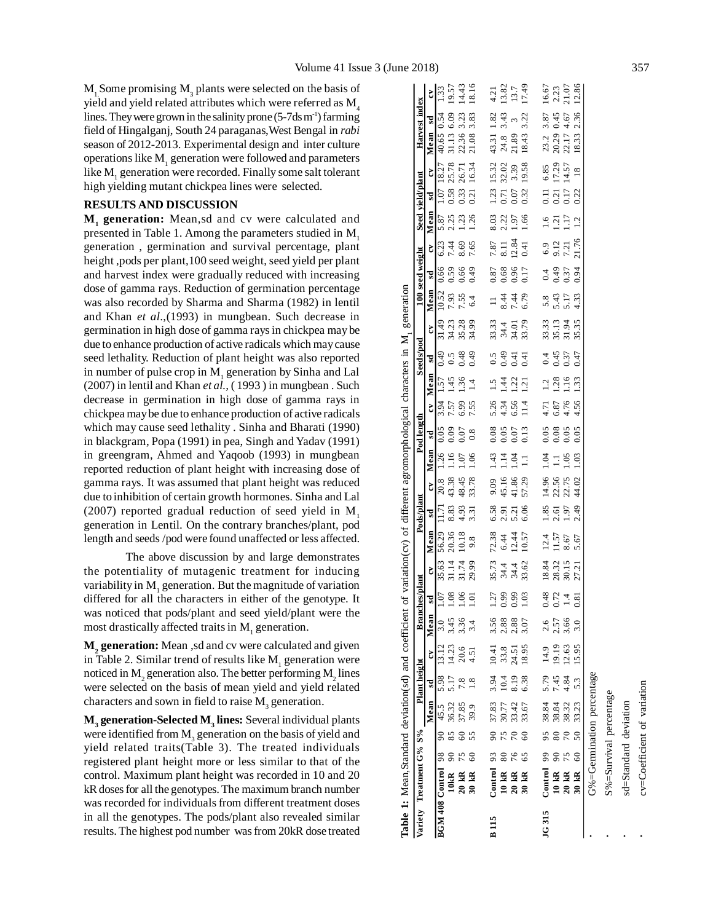$M_1$ Some promising  $M_3$  plants were selected on the basis of yield and yield related attributes which were referred as  $M<sub>4</sub>$ lines. They were grown in the salinity prone  $(5-7d \sin^{-1})$  farming field of Hingalganj, South 24 paraganas,West Bengal in *rabi* season of 2012-2013. Experimental design and inter culture operations like  $\mathbf{M}^-_1$  generation were followed and parameters like  $\mathbf{M}_1$  generation were recorded. Finally some salt tolerant high yielding mutant chickpea lines were selected.

#### **RESULTS AND DISCUSSION**

**M<sup>1</sup> generation:** Mean,sd and cv were calculated and presented in Table 1. Among the parameters studied in M<sub>1</sub> generation , germination and survival percentage, plant height ,pods per plant,100 seed weight, seed yield per plant and harvest index were gradually reduced with increasing dose of gamma rays. Reduction of germination percentage was also recorded by Sharma and Sharma (1982) in lentil and Khan *et al*.,(1993) in mungbean. Such decrease in germination in high dose of gamma rays in chickpea may be due to enhance production of active radicals which may cause seed lethality. Reduction of plant height was also reported in number of pulse crop in  $M_1$  generation by Sinha and Lal (2007) in lentil and Khan *et al.,* ( 1993 ) in mungbean . Such decrease in germination in high dose of gamma rays in chickpea may be due to enhance production of active radicals which may cause seed lethality . Sinha and Bharati (1990) in blackgram, Popa (1991) in pea, Singh and Yadav (1991) in greengram, Ahmed and Yaqoob (1993) in mungbean reported reduction of plant height with increasing dose of gamma rays. It was assumed that plant height was reduced due to inhibition of certain growth hormones. Sinha and Lal  $(2007)$  reported gradual reduction of seed yield in M<sub>1</sub> generation in Lentil. On the contrary branches/plant, pod length and seeds /pod were found unaffected or less affected.

The above discussion by and large demonstrates the potentiality of mutagenic treatment for inducing variability in  $\mathbf{M}_1$  generation. But the magnitude of variation differed for all the characters in either of the genotype. It was noticed that pods/plant and seed yield/plant were the most drastically affected traits in  $M<sub>1</sub>$  generation.

**M<sup>2</sup> generation:** Mean ,sd and cv were calculated and given in Table 2. Similar trend of results like  $\mathbf{M}_1$  generation were noticed in  $\text{M}_\text{2}$  generation also. The better performing  $\text{M}_\text{2}$  lines were selected on the basis of mean yield and yield related characters and sown in field to raise  $M_3$  generation.

**M<sup>3</sup> generation-Selected M<sup>3</sup> lines:** Several individual plants were identified from  $\mathbf{M}_3^{\vphantom{\dagger}}$  generation on the basis of yield and yield related traits(Table 3). The treated individuals registered plant height more or less similar to that of the control. Maximum plant height was recorded in 10 and 20 kR doses for all the genotypes. The maximum branch number was recorded for individuals from different treatment doses in all the genotypes. The pods/plant also revealed similar results. The highest pod number was from 20kR dose treated

|              | Table 1: Mean, Standard deviation(sd) and coefficient |              |                        |                                  |                                   |                                                                |                                        |                  | of variation(cv) of different agromorphological characters in M, generation |       |                    |                      |                 |                         |                      |                 |                   |                         |       |                 |                  |               |                            |                |                           |       |
|--------------|-------------------------------------------------------|--------------|------------------------|----------------------------------|-----------------------------------|----------------------------------------------------------------|----------------------------------------|------------------|-----------------------------------------------------------------------------|-------|--------------------|----------------------|-----------------|-------------------------|----------------------|-----------------|-------------------|-------------------------|-------|-----------------|------------------|---------------|----------------------------|----------------|---------------------------|-------|
|              | Variety Treatment G% S% Plant height                  |              |                        |                                  |                                   |                                                                | <b>Branch</b>                          | hes/plant        |                                                                             |       | Pods/plant         |                      |                 | Pod length              |                      |                 | Seeds/pod         |                         |       | 100 seed weight |                  |               | Seed vield/plant           |                | Harvest index             |       |
|              |                                                       |              |                        | Mean sd                          |                                   | $\tilde{\mathbf{c}}$                                           | Mean                                   | $s$ <sub>d</sub> | Š                                                                           | Mean  | sd                 | $\tilde{\mathbf{c}}$ | Mean            | $\overline{\mathbf{s}}$ | Š                    | Mean            | sd                | Š                       | Mean  | $_{\rm sd}$     | $\tilde{c}$      | Mean          | $\tilde{c}$<br>$_{\rm sd}$ |                | sd<br>Mean                | Š     |
|              | BGM 408 Control 98                                    |              |                        | 90 45.5                          | 5.98                              | 13.12                                                          |                                        | 1.07             | 35.63                                                                       | 56.29 | $\overline{11.71}$ | 20.8                 | 1.26            | 0.05                    | 3.94                 | 1.57            | 0.49              | 31.49                   | 10.52 | 0.66            | 6.23             | 5.87          | 18.27<br>1.07              |                | 0.54<br>40.65             | 1.33  |
|              |                                                       |              |                        |                                  | 5.17                              | 14.23                                                          |                                        | 1.08             | 31.14                                                                       | 20.36 | 8.83               | 43.38                | 1.16            | 0.09                    | 7.57                 | 1.45            | 0.5               | 34.23                   | 7.93  | 0.59            | 7.44             | 2.25          | 25.78<br>0.58              |                | 6.09<br>31.13             | 19.57 |
|              |                                                       |              | $rac{60}{55}$          | 85 36.32<br>60 37.85             | 7.8                               |                                                                | $3.\overline{3}6$<br>$3.\overline{3}4$ | 1.06             | 31.74                                                                       | 10.18 | 4.93               | 48.45                | 0.07            | 0.07                    | 6.99                 | 1.36            | 0.48              | 35.28                   | 7.55  | 0.66            | 8.69             | 1.23          | 26.71<br>0.33              |                | 3.23<br>22.36             | 14.43 |
|              | 10kR 90 ;<br>20 kR 75<br>30 kR 60                     |              |                        | 39.9                             | $\frac{8}{1}$                     | 20.6<br>4.51                                                   |                                        | 1.01             | 29.99                                                                       | 9.8   | 3.31               | 33.78                | 0.1             | $0.\overline{8}$        | 7.55                 | $\overline{14}$ | 64.0              | 34.99                   | 6.4   | 0.49            | 7.65             | 1.26          | 0.21                       | 16.34          | 3.83<br>21.08             | 18.16 |
| <b>B</b> 115 |                                                       |              |                        |                                  |                                   |                                                                |                                        | 1.27             |                                                                             | 72.38 | 6.58               | 9.09                 | $\frac{143}{5}$ | 0.08                    |                      | 1.5             | 0.5               |                         |       | 0.87            | 7.87             | 8.03          | 1.23                       | 15.32          | 1.82                      | 4.21  |
|              | Control 93<br>10 kR 80<br>20 kR 76<br>30 kR 65        |              | e n e e<br>8<br>7<br>8 | 37.83<br>30.77<br>33.67<br>33.67 | $3.4$<br>$10.3$<br>$6.3$<br>$6.3$ | $\begin{array}{c} 10.41 \\ 33.8 \\ 24.51 \\ 18.95 \end{array}$ | 58885<br>3885                          | 0.99             | 35.73<br>34.4<br>34.4<br>33.62                                              | 6.44  | 2.91               | 45.16                | $\frac{1}{4}$   | 0.05                    | 5.34<br>5.45<br>6.56 | 1.44            | 0.49              | 33.33<br>34.01<br>34.01 | 8.44  | 0.68            | $\overline{8}$ . | 2.22          | 0.71                       | 32.02          | 3.43<br>$43.31$<br>$24.8$ | 13.82 |
|              |                                                       |              |                        |                                  |                                   |                                                                |                                        | $0.99$<br>1.03   |                                                                             | 12.44 | 5.21               | 41.86                | 1.04            | 0.07                    |                      | 1.22            | $\overline{0.41}$ |                         | 7.44  | 0.96            | 12.84            | 1.97          | 3.39<br>0.07               |                | $\tilde{5}$<br>21.89      | 13.7  |
|              |                                                       |              |                        |                                  |                                   |                                                                |                                        |                  |                                                                             | 10.57 | 6.06               | 57.29                | $\Xi$           | 0.13                    | 11.4                 | 1.21            | $\ddot{=}$        | 33.79                   | 6.79  | 0.17            | 0.41             | 1.66          | 0.32                       | 19.58          | 3.22<br>18.43             | 17.49 |
| <b>IG315</b> | Control 99                                            |              | 95                     |                                  |                                   | 14.9                                                           |                                        | 0.48             | 18.84                                                                       | 12.4  | 1.85               | 14.96                | 1.04            | 0.05                    | 4.71                 | 1.2             | 0.4               | 33.33                   | 5.8   | 0.4             | 6.9              | 1.6           | 6.85<br>$\Xi$              |                | 3.87<br>23.2              | 16.67 |
|              |                                                       | $10$ kR $90$ |                        | 38.84<br>38.32<br>38.32          | 5.79<br>7.45<br>4.84              | 19.19                                                          | $2.57$<br>$2.57$<br>$3.66$<br>$3.0$    | 0.72             |                                                                             | 11.57 | 2.61               | 22.56                | $\Xi$           | 0.08                    | 6.87                 | 1.28            | 0.45              | 35.13                   | 5.43  | 0.49            | 9.12             | 1.21          | 0.21                       | 17.29          | 0.45                      | 2.23  |
|              | $20$ kR                                               | 75           | $\frac{6}{20}$         |                                  |                                   | 12.63                                                          |                                        | 1.4              | 28.32<br>30.15                                                              | 8.67  | 1.97               | 22.75                | 0.05            | 0.05                    | 4.76                 | $\frac{6}{1}$   | 0.37              | 31.94                   | 5.17  | 0.37            | 7.21             | 1.17          | 0.17                       | 14.57          | 4.67<br>20.29<br>22.17    | 21.07 |
|              |                                                       | 30 kR 60     |                        | 33.23                            | 5.3                               | 15.95                                                          |                                        | 0.81             | 27.23                                                                       | 5.67  | 2.49               | 44.02                | 1.03            | 0.05                    | 4.56                 | 1.33            | 0.47              | 35.35                   | 4.33  | 0.94            | 21.76            | $\frac{1}{2}$ | 0.22                       | $\frac{8}{18}$ | 2.36<br>18.33             | 12.86 |
|              |                                                       |              |                        | G%=Germination percentage        |                                   |                                                                |                                        |                  |                                                                             |       |                    |                      |                 |                         |                      |                 |                   |                         |       |                 |                  |               |                            |                |                           |       |
|              |                                                       |              |                        | S%=Survival percentage           |                                   |                                                                |                                        |                  |                                                                             |       |                    |                      |                 |                         |                      |                 |                   |                         |       |                 |                  |               |                            |                |                           |       |
|              | sd=Standard deviation                                 |              |                        |                                  |                                   |                                                                |                                        |                  |                                                                             |       |                    |                      |                 |                         |                      |                 |                   |                         |       |                 |                  |               |                            |                |                           |       |

 cv=Coefficient of variationcv=Coefficient of variation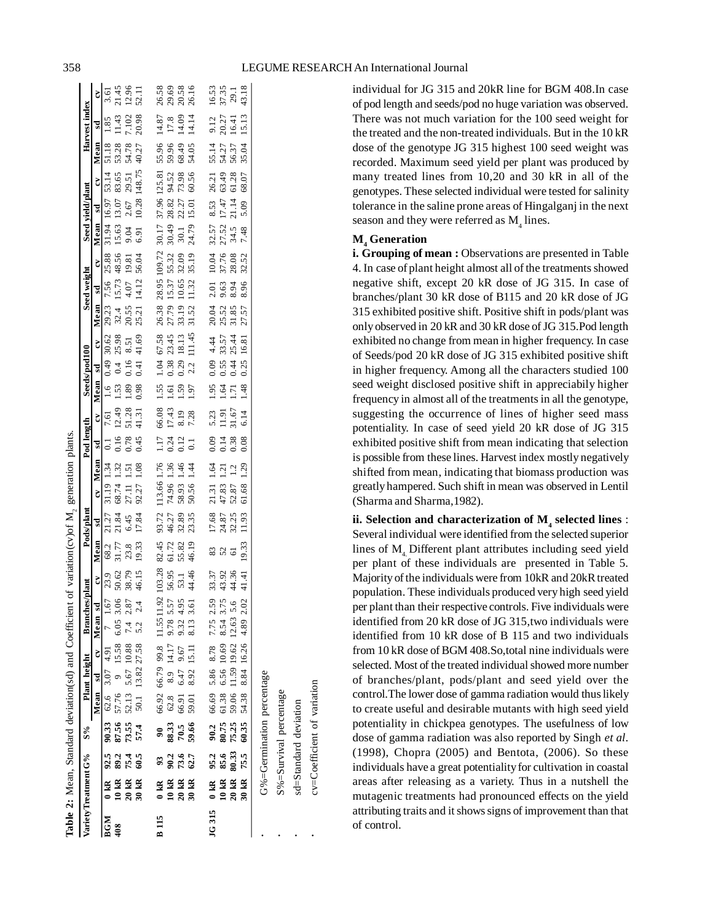individual for JG 315 and 20kR line for BGM 408.In case of pod length and seeds/pod no huge variation was observed. There was not much variation for the 100 seed weight for the treated and the non-treated individuals. But in the 10 kR dose of the genotype JG 315 highest 100 seed weight was recorded. Maximum seed yield per plant was produced by many treated lines from 10,20 and 30 kR in all of the genotypes. These selected individual were tested for salinity tolerance in the saline prone areas of Hingalganj in the next season and they were referred as  $M<sub>4</sub>$  lines.

# **M<sup>4</sup> Generation**

**i. Grouping of mean :** Observations are presented in Table 4. In case of plant height almost all of the treatments showed negative shift, except 20 kR dose of JG 315. In case of branches/plant 30 kR dose of B115 and 20 kR dose of JG 315 exhibited positive shift. Positive shift in pods/plant was only observed in 20 kR and 30 kR dose of JG 315.Pod length exhibited no change from mean in higher frequency. In case of Seeds/pod 20 kR dose of JG 315 exhibited positive shift in higher frequency. Among all the characters studied 100 seed weight disclosed positive shift in appreciabily higher frequency in almost all of the treatments in all the genotype, suggesting the occurrence of lines of higher seed mass potentiality. In case of seed yield 20 kR dose of JG 315 exhibited positive shift from mean indicating that selection is possible from these lines. Harvest index mostly negatively shifted from mean, indicating that biomass production was greatly hampered. Such shift in mean was observed in Lentil (Sharma and Sharma,1982).

**ii. Selection and characterization of M<sup>4</sup> selected lines** : Several individual were identified from the selected superior lines of M<sub>4</sub> Different plant attributes including seed yield per plant of these individuals are presented in Table 5. Majority of the individuals were from 10kR and 20kR treated population. These individuals produced very high seed yield per plant than their respective controls. Five individuals were identified from 20 kR dose of JG 315,two individuals were identified from 10 kR dose of B 115 and two individuals from 10 kR dose of BGM 408.So,total nine individuals were selected. Most of the treated individual showed more number of branches/plant, pods/plant and seed yield over the control.The lower dose of gamma radiation would thus likely to create useful and desirable mutants with high seed yield potentiality in chickpea genotypes. The usefulness of low dose of gamma radiation was also reported by Singh *et al*. (1998), Chopra (2005) and Bentota, (2006). So these individuals have a great potentiality for cultivation in coastal areas after releasing as a variety. Thus in a nutshell the mutagenic treatments had pronounced effects on the yield attributing traits and it shows signs of improvement than that of control.

| ;<br>;<br>;<br>l |
|------------------|
|                  |
| l                |
|                  |
|                  |
|                  |
|                  |
|                  |
|                  |
| i                |
|                  |
| Ì                |
|                  |
| Ï                |
|                  |
|                  |
|                  |
| 7<br>F<br>ï      |

|              |                         |                           |                |                  |      |       | Variety Treatment G% S% Plant height Branches/                   | plant                   |                 | Pods/plant              |                                       |       | Pod length     |       |         | Seeds/pod100             |       |                | Seed weight  |                | Seed vield/plant       |               |                      |                | Harvest index    |                                                                |
|--------------|-------------------------|---------------------------|----------------|------------------|------|-------|------------------------------------------------------------------|-------------------------|-----------------|-------------------------|---------------------------------------|-------|----------------|-------|---------|--------------------------|-------|----------------|--------------|----------------|------------------------|---------------|----------------------|----------------|------------------|----------------------------------------------------------------|
|              |                         |                           |                |                  |      |       | Mean sd cv Mean sd                                               | $\mathbf{c}$            | Mean            | $\mathbf{S}$            | EY                                    | Mean  | sd             | CV.   | Mean sd |                          | čV    | Mean           | sd           | č              | Mean                   | sd            | $\tilde{\mathbf{c}}$ | Mean           | $_{\rm sd}$      | $\tilde{\mathbf{c}}$                                           |
| <b>BGM</b>   | $0 \text{ kR}$          | 92.5                      |                |                  |      |       | 90.33 62.6 3.07 4.91 7 1.67                                      | 23.9                    | 68.2            | 21.27                   | 31.19                                 | 1.34  |                | 7.61  | 1.6     | 0.49                     | 30.62 | 29.23          | 7.56         | 25.88          | 31.94                  | 16.97         | 53.14                | 51.18          | 1.85             |                                                                |
| 408          | 10 KR<br>20 KR<br>30 KR | 89.2                      |                |                  |      |       | 87.56 57.76 9 15.58 6.05 3.06<br>73.55 52.13 5.67 10.88 7.4 2.87 |                         | 31.77           | 21.84                   | 68.74                                 | 1.32  | 0.16           | 12.49 | 1.53    | 0.4                      | 25.98 | 32.4 15.73     |              | 48.56 15.63    |                        | 13.07         | 83.65                | 53.28          | 11.43            | 3.61<br>21.45<br>22.11<br>52.11                                |
|              |                         | 75.4                      |                |                  |      |       |                                                                  | 50.62<br>38.79<br>46.15 | 23.8            | 6.45                    | 27.11                                 | 1.51  | 0.78           | 51.28 | 1.89    | 0.16                     | 8.51  | 20.55          | 4.07         | 19.81<br>56.04 | 9.04                   | 2.67          | 29.51                | 54.78          | 7.102            |                                                                |
|              |                         | 60.5                      | 57.4           |                  |      |       | 50.1 13.82 27.58 5.2 2.4                                         |                         | 19.33           | 17.84                   | 92.27                                 | .1.08 | 0.45           | 41.31 | 0.98    | 0.41                     | 41.69 | 25.21          | 14.12        |                | 6.91                   | 10.28 148.75  |                      | 40.27          | 20.98            |                                                                |
| <b>B</b> 115 |                         | 93                        | $\overline{6}$ |                  |      |       | 66.92 66.79 99.8 11.5511.92<br>62.8 8.9 14.17 9.78 5.57          | 103.28                  |                 |                         |                                       |       | 1.17           | 66.08 | 1.55    |                          |       |                | 28.95 109.72 |                | 30.17                  | 37.96 125.81  |                      | 55.96          | 14.87            |                                                                |
|              | 0 KR<br>10 KR<br>20 KR  | 90.2                      | 88.33          |                  |      |       |                                                                  |                         | 82.45<br>61.72  | 93.72<br>46.27          | 113.66 1.76<br>74.96 1.36             |       | 0.24           | 17.43 | 1.61    | 1.04 67.58<br>0.38 23.45 |       | 26.38<br>27.79 | $-15.37$ +   | 55.32          | 30.49                  | 28.82         | 94.52                | 59.96          | 17.8             | 36.58<br>20.58<br>20.58                                        |
|              |                         | 73.6                      | 70.5<br>59.66  |                  | 6.47 | 9.67  |                                                                  | 56.95<br>53.1<br>44.46  | 55.82<br>46.19  | 32.89<br>23.35          | 58.93<br>50.56                        | 1.46  | 0.12           | 8.19  | 1.59    | 0.29                     | 18.13 | 33.19          | 10.65        | 32.09          | 30.1                   | 22.27         | 73.98                | 68.49          | 14.09            |                                                                |
|              |                         | 62.7                      |                | 66.91<br>59.01   | 8.92 | 15.11 | 9.32 4.95<br>8.13 3.61                                           |                         |                 |                         |                                       | 1.44  | $\overline{c}$ | 7.28  | 1.97    | 2.2                      | 11.45 | 31.52          | 11.32        | 35.19          | 24.79                  | 15.01         | 60.56                | 54.05          | 14.14            |                                                                |
| <b>JG315</b> |                         |                           | 90.2           | 66.69 5.86 8.78  |      |       | 7.75 2.59                                                        |                         | 83              |                         |                                       |       | 0.09           | 5.23  | 1.95    | 0.09                     | 4.44  | 20.04          | 2.01         | 10.04          |                        |               | 26.21                | 55.14          | 9.12             |                                                                |
|              |                         |                           |                |                  |      |       |                                                                  |                         |                 |                         |                                       |       |                |       |         |                          |       |                |              |                |                        |               |                      |                |                  |                                                                |
|              |                         | 95.2<br>85.6              |                | 61.38 6.56 10.69 |      |       | 8.54 3.75                                                        |                         | 52              |                         |                                       |       | 0.14           | 11.91 | 1.64    | 0.55                     | 33.57 | 25.52          | 9.63         |                |                        | 8.53<br>17.47 | 63.49                |                |                  |                                                                |
|              | 0 KR<br>10 KR<br>20 KR  | 80.33                     | 80.75<br>75.25 |                  |      |       | 59.06 11.59 19.62 12.63 5.6                                      | 33.37<br>43.36<br>44.36 | $\overline{61}$ | 17.68<br>24.87<br>32.25 | 21.31 1.64<br>47.83 1.21<br>52.87 1.2 |       | 0.38           | 31.67 | 1.71    | 0.44                     | 25.44 | 31.85          | 8.94         | 37.76          | 32.57<br>27.52<br>34.5 | 21.14         | 61.28                | 54.27<br>56.37 | $20.27$<br>16.41 |                                                                |
|              | 30 kR                   | 75.5                      | 60.35          |                  |      |       | 54.38 8.84 16.26 4.89 2.02                                       | 41.41                   | 19.33           | 11.93                   | 61.68                                 | 1.29  | 0.08           | 6.14  | 1.48    | 0.25                     | 16.81 | 27.57          | 8.96         | 32.52          | 7.48                   | 5.09          | 68.07                | 35.04          | 15.13            | $\begin{array}{c} 16.53 \\ 37.35 \\ 29.1 \\ 43.18 \end{array}$ |
|              |                         | G%=Germination percentage |                |                  |      |       |                                                                  |                         |                 |                         |                                       |       |                |       |         |                          |       |                |              |                |                        |               |                      |                |                  |                                                                |
|              |                         |                           |                |                  |      |       |                                                                  |                         |                 |                         |                                       |       |                |       |         |                          |       |                |              |                |                        |               |                      |                |                  |                                                                |

 S%=Survival percentage sd=Standard deviation cv=Coefficient of variation

S%=Survival percentage sd=Standard deviation cv=Coefficient of variation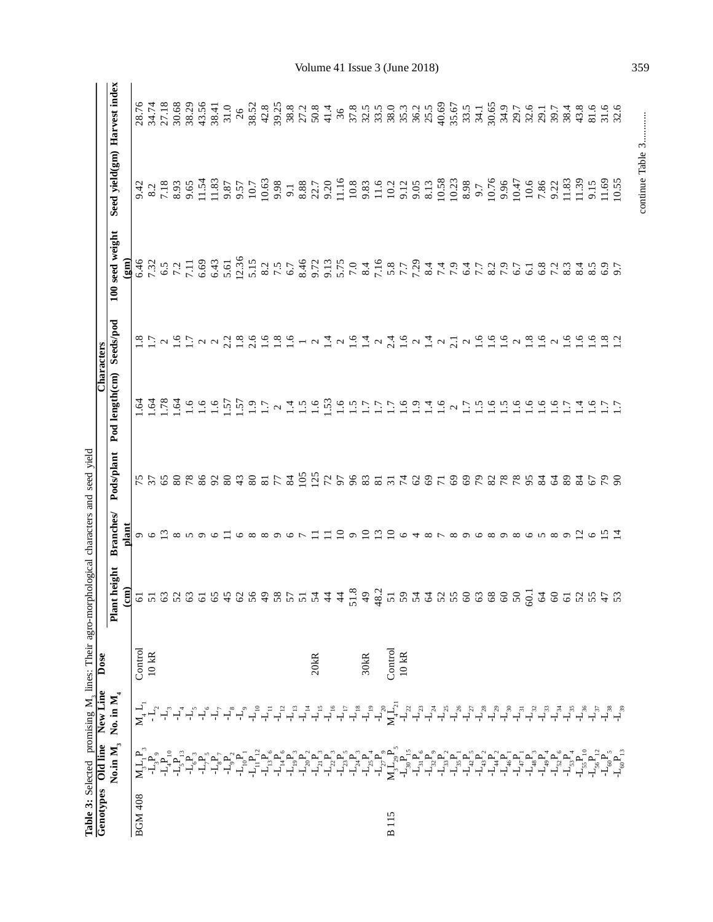|                |                                                                                                                                                                                                                                                                                                                                                                                                                                 | Genotypes Old line New Line                                                         | Dose             | Table 3: Selected promising M, lines: Their agro-morphological characters and seed yield                                                                                                                                                                                                                                                                                                                                                                                                                      |                                                                                      |              |                                                                                                                                                                                                                                                                                                                 | Characters |                 |                              |                                                                                                                                                                                                                                                                                                                                                                                                                                                                                                    |
|----------------|---------------------------------------------------------------------------------------------------------------------------------------------------------------------------------------------------------------------------------------------------------------------------------------------------------------------------------------------------------------------------------------------------------------------------------|-------------------------------------------------------------------------------------|------------------|---------------------------------------------------------------------------------------------------------------------------------------------------------------------------------------------------------------------------------------------------------------------------------------------------------------------------------------------------------------------------------------------------------------------------------------------------------------------------------------------------------------|--------------------------------------------------------------------------------------|--------------|-----------------------------------------------------------------------------------------------------------------------------------------------------------------------------------------------------------------------------------------------------------------------------------------------------------------|------------|-----------------|------------------------------|----------------------------------------------------------------------------------------------------------------------------------------------------------------------------------------------------------------------------------------------------------------------------------------------------------------------------------------------------------------------------------------------------------------------------------------------------------------------------------------------------|
|                | No.in $\mathbf{M}_3$                                                                                                                                                                                                                                                                                                                                                                                                            | No. in $\mathbf{M}_4$                                                               |                  | Plant height                                                                                                                                                                                                                                                                                                                                                                                                                                                                                                  | <b>Branches</b>                                                                      | Pods/plant   | Pod length(cm)                                                                                                                                                                                                                                                                                                  | Seeds/pod  | 100 seed weight | Seed yield(gm) Harvest index |                                                                                                                                                                                                                                                                                                                                                                                                                                                                                                    |
|                |                                                                                                                                                                                                                                                                                                                                                                                                                                 |                                                                                     |                  | $\frac{\text{cm}}{\text{cm}}$                                                                                                                                                                                                                                                                                                                                                                                                                                                                                 | plant                                                                                |              |                                                                                                                                                                                                                                                                                                                 |            | (gm)            |                              |                                                                                                                                                                                                                                                                                                                                                                                                                                                                                                    |
| <b>BGM 408</b> | $\mathbf{M}_3\mathbf{L}_1\mathbf{P}_3$                                                                                                                                                                                                                                                                                                                                                                                          | $\mathbf{N}_4$ $\mathbf{L}_1$                                                       | Control          |                                                                                                                                                                                                                                                                                                                                                                                                                                                                                                               |                                                                                      |              |                                                                                                                                                                                                                                                                                                                 |            |                 |                              |                                                                                                                                                                                                                                                                                                                                                                                                                                                                                                    |
|                |                                                                                                                                                                                                                                                                                                                                                                                                                                 | $-\mathbf{L}_{2}$                                                                   | $10$ kR          |                                                                                                                                                                                                                                                                                                                                                                                                                                                                                                               |                                                                                      |              |                                                                                                                                                                                                                                                                                                                 |            |                 |                              |                                                                                                                                                                                                                                                                                                                                                                                                                                                                                                    |
|                |                                                                                                                                                                                                                                                                                                                                                                                                                                 | $\overline{A}^2$                                                                    |                  |                                                                                                                                                                                                                                                                                                                                                                                                                                                                                                               |                                                                                      | $75$<br>$57$ |                                                                                                                                                                                                                                                                                                                 |            |                 |                              |                                                                                                                                                                                                                                                                                                                                                                                                                                                                                                    |
|                |                                                                                                                                                                                                                                                                                                                                                                                                                                 | $\mathcal{L}_{\!\scriptscriptstyle 4}$                                              |                  |                                                                                                                                                                                                                                                                                                                                                                                                                                                                                                               |                                                                                      |              |                                                                                                                                                                                                                                                                                                                 |            |                 |                              |                                                                                                                                                                                                                                                                                                                                                                                                                                                                                                    |
|                | `<br>`႕໊൧ ҇൧ၟ൧഻ഀ൧഻ഀ൧഻ഺ<br>`႕ၴ <i>ᅟ</i> ᆗၴ႕ၴ႕ၴ                                                                                                                                                                                                                                                                                                                                                                                   |                                                                                     |                  |                                                                                                                                                                                                                                                                                                                                                                                                                                                                                                               |                                                                                      |              |                                                                                                                                                                                                                                                                                                                 |            |                 |                              |                                                                                                                                                                                                                                                                                                                                                                                                                                                                                                    |
|                |                                                                                                                                                                                                                                                                                                                                                                                                                                 | $\stackrel{\cdot \Gamma}{\dashrightarrow} \stackrel{\cdot \Gamma}{\dashrightarrow}$ |                  |                                                                                                                                                                                                                                                                                                                                                                                                                                                                                                               |                                                                                      |              |                                                                                                                                                                                                                                                                                                                 |            |                 |                              |                                                                                                                                                                                                                                                                                                                                                                                                                                                                                                    |
|                |                                                                                                                                                                                                                                                                                                                                                                                                                                 |                                                                                     |                  |                                                                                                                                                                                                                                                                                                                                                                                                                                                                                                               |                                                                                      |              |                                                                                                                                                                                                                                                                                                                 |            |                 |                              |                                                                                                                                                                                                                                                                                                                                                                                                                                                                                                    |
|                | $\begin{array}{c} \mathbf{1}_{9} \\ \mathbf{1}_{1} \\ \mathbf{1}_{2} \end{array}$                                                                                                                                                                                                                                                                                                                                               | ゚゚゚゙゙゙゙゙ヿ゙゚ヿ゚                                                                       |                  |                                                                                                                                                                                                                                                                                                                                                                                                                                                                                                               |                                                                                      |              |                                                                                                                                                                                                                                                                                                                 |            |                 |                              |                                                                                                                                                                                                                                                                                                                                                                                                                                                                                                    |
|                |                                                                                                                                                                                                                                                                                                                                                                                                                                 |                                                                                     |                  |                                                                                                                                                                                                                                                                                                                                                                                                                                                                                                               |                                                                                      |              |                                                                                                                                                                                                                                                                                                                 |            |                 |                              |                                                                                                                                                                                                                                                                                                                                                                                                                                                                                                    |
|                | $\mathbf{L}_{\mathrm{nl}}\overset{\mathrm{a}}{\mathbf{P}}_{\mathrm{nl}}$                                                                                                                                                                                                                                                                                                                                                        | $L_{\rm 10}$                                                                        |                  | 6488                                                                                                                                                                                                                                                                                                                                                                                                                                                                                                          |                                                                                      |              |                                                                                                                                                                                                                                                                                                                 |            |                 |                              |                                                                                                                                                                                                                                                                                                                                                                                                                                                                                                    |
|                | $\mathbf{L}_{\mathrm{B}}\mathbf{P}_{\mathrm{s}}$                                                                                                                                                                                                                                                                                                                                                                                | $\overline{\mathcal{L}}$                                                            |                  | $\frac{4}{9}$                                                                                                                                                                                                                                                                                                                                                                                                                                                                                                 |                                                                                      |              |                                                                                                                                                                                                                                                                                                                 |            |                 |                              |                                                                                                                                                                                                                                                                                                                                                                                                                                                                                                    |
|                | $\mathbf{L}_{\mu}^{\text{}}\mathbf{P}_{\text{6}}^{\text{}}% =\mathbf{L}_{\text{6}}\mathbf{V}+\mathbf{L}_{\text{6}}\mathbf{V}+\mathbf{L}_{\text{6}}\mathbf{V}+\mathbf{L}_{\text{6}}\mathbf{V}+\mathbf{L}_{\text{6}}\mathbf{V}+\mathbf{L}_{\text{6}}\mathbf{V}+\mathbf{L}_{\text{6}}\mathbf{V}+\mathbf{L}_{\text{6}}\mathbf{V}+\mathbf{L}_{\text{6}}\mathbf{V}+\mathbf{L}_{\text{6}}\mathbf{V}+\mathbf{L}_{\text{6}}\mathbf{V}+\$ | $\mathbf{L}_{_{12}}$                                                                |                  |                                                                                                                                                                                                                                                                                                                                                                                                                                                                                                               |                                                                                      |              |                                                                                                                                                                                                                                                                                                                 |            |                 |                              |                                                                                                                                                                                                                                                                                                                                                                                                                                                                                                    |
|                |                                                                                                                                                                                                                                                                                                                                                                                                                                 | $\mathbf{L}_{\rm B}$                                                                |                  |                                                                                                                                                                                                                                                                                                                                                                                                                                                                                                               |                                                                                      |              |                                                                                                                                                                                                                                                                                                                 |            |                 |                              |                                                                                                                                                                                                                                                                                                                                                                                                                                                                                                    |
|                |                                                                                                                                                                                                                                                                                                                                                                                                                                 | $\mathbf{L}_{\mathbb{I}^4}$                                                         |                  |                                                                                                                                                                                                                                                                                                                                                                                                                                                                                                               |                                                                                      |              |                                                                                                                                                                                                                                                                                                                 |            |                 |                              |                                                                                                                                                                                                                                                                                                                                                                                                                                                                                                    |
|                |                                                                                                                                                                                                                                                                                                                                                                                                                                 | $-L_{\rm is}$                                                                       | 20kR             |                                                                                                                                                                                                                                                                                                                                                                                                                                                                                                               |                                                                                      |              |                                                                                                                                                                                                                                                                                                                 |            |                 |                              |                                                                                                                                                                                                                                                                                                                                                                                                                                                                                                    |
|                |                                                                                                                                                                                                                                                                                                                                                                                                                                 | $L_{\rm 16}$                                                                        |                  |                                                                                                                                                                                                                                                                                                                                                                                                                                                                                                               | Ξ                                                                                    |              |                                                                                                                                                                                                                                                                                                                 |            |                 |                              |                                                                                                                                                                                                                                                                                                                                                                                                                                                                                                    |
|                |                                                                                                                                                                                                                                                                                                                                                                                                                                 | $\mathbf{L}_{\textrm{p}}$                                                           |                  |                                                                                                                                                                                                                                                                                                                                                                                                                                                                                                               | ₽                                                                                    |              |                                                                                                                                                                                                                                                                                                                 |            |                 |                              |                                                                                                                                                                                                                                                                                                                                                                                                                                                                                                    |
|                |                                                                                                                                                                                                                                                                                                                                                                                                                                 | $L_{\tilde{I}}^{\infty}$                                                            |                  |                                                                                                                                                                                                                                                                                                                                                                                                                                                                                                               | $\sigma$                                                                             |              |                                                                                                                                                                                                                                                                                                                 |            |                 |                              |                                                                                                                                                                                                                                                                                                                                                                                                                                                                                                    |
|                |                                                                                                                                                                                                                                                                                                                                                                                                                                 | $L_{\rm p}$                                                                         | 30 <sub>kR</sub> |                                                                                                                                                                                                                                                                                                                                                                                                                                                                                                               |                                                                                      |              |                                                                                                                                                                                                                                                                                                                 |            |                 |                              |                                                                                                                                                                                                                                                                                                                                                                                                                                                                                                    |
|                |                                                                                                                                                                                                                                                                                                                                                                                                                                 | $L_{\tilde{\gamma}^0}$                                                              |                  |                                                                                                                                                                                                                                                                                                                                                                                                                                                                                                               |                                                                                      |              |                                                                                                                                                                                                                                                                                                                 |            |                 |                              |                                                                                                                                                                                                                                                                                                                                                                                                                                                                                                    |
| <b>B115</b>    |                                                                                                                                                                                                                                                                                                                                                                                                                                 | $\mathbf{M}_4 \tilde{\mathbf{L}}_2$ .                                               | Control          |                                                                                                                                                                                                                                                                                                                                                                                                                                                                                                               | $\begin{array}{c}\n 2 \quad \text{if} \quad 2 \quad \text{if} \quad 6\n \end{array}$ |              |                                                                                                                                                                                                                                                                                                                 |            |                 |                              |                                                                                                                                                                                                                                                                                                                                                                                                                                                                                                    |
|                |                                                                                                                                                                                                                                                                                                                                                                                                                                 |                                                                                     | $10$ kR          |                                                                                                                                                                                                                                                                                                                                                                                                                                                                                                               |                                                                                      |              |                                                                                                                                                                                                                                                                                                                 |            |                 |                              |                                                                                                                                                                                                                                                                                                                                                                                                                                                                                                    |
|                |                                                                                                                                                                                                                                                                                                                                                                                                                                 | $\mathbf{L}_{23}$                                                                   |                  |                                                                                                                                                                                                                                                                                                                                                                                                                                                                                                               |                                                                                      |              |                                                                                                                                                                                                                                                                                                                 |            |                 |                              |                                                                                                                                                                                                                                                                                                                                                                                                                                                                                                    |
|                |                                                                                                                                                                                                                                                                                                                                                                                                                                 | $\mathbf{L}_\mathrm{A}$                                                             |                  |                                                                                                                                                                                                                                                                                                                                                                                                                                                                                                               |                                                                                      |              |                                                                                                                                                                                                                                                                                                                 |            |                 |                              |                                                                                                                                                                                                                                                                                                                                                                                                                                                                                                    |
|                |                                                                                                                                                                                                                                                                                                                                                                                                                                 | $\mathbf{L}_{25}$                                                                   |                  |                                                                                                                                                                                                                                                                                                                                                                                                                                                                                                               |                                                                                      |              |                                                                                                                                                                                                                                                                                                                 |            |                 |                              |                                                                                                                                                                                                                                                                                                                                                                                                                                                                                                    |
|                |                                                                                                                                                                                                                                                                                                                                                                                                                                 |                                                                                     |                  |                                                                                                                                                                                                                                                                                                                                                                                                                                                                                                               |                                                                                      |              |                                                                                                                                                                                                                                                                                                                 |            |                 |                              |                                                                                                                                                                                                                                                                                                                                                                                                                                                                                                    |
|                | ے کے لیے کہا کہ کہا گیا ہے کہ اس کے لیے کہا ہے کہ اس کے لیے کہا ہے کہ اس کے لیے کہا گیا ہے کہ اس کے لیے کہا کہ<br>نوٹ کے لیے کہا کہ پیدا ہے کہ اس کے لیے کہا گیا ہے کہ اس کے لیے کہا گیا ہے کہ اس کے لیے کہا کہ پیدا ہے کہ اس کے                                                                                                                                                                                                |                                                                                     |                  | $\begin{array}{l} \mathcal{L} \\ \mathcal{L} \end{array} \begin{array}{l} \mathcal{L} \\ \mathcal{L} \end{array} \begin{array}{l} \mathcal{L} \\ \mathcal{L} \end{array} \begin{array}{l} \mathcal{L} \\ \mathcal{L} \end{array} \begin{array}{l} \mathcal{L} \\ \mathcal{L} \end{array} \begin{array}{l} \mathcal{L} \\ \mathcal{L} \end{array} \begin{array}{l} \mathcal{L} \\ \mathcal{L} \end{array} \begin{array}{l} \mathcal{L} \\ \mathcal{L} \end{array} \begin{array}{l} \mathcal{L} \\ \mathcal{L}$ |                                                                                      |              | $\begin{array}{c} 2 & 3 & 2 & 3 \\ 3 & 4 & 5 & 6 \\ 5 & 6 & 7 & 12 \\ 6 & 7 & 8 & 6 \\ 7 & 8 & 9 & 12 \\ 8 & 10 & 12 & 12 \\ 9 & 11 & 13 & 12 \\ 12 & 13 & 14 & 12 \\ 13 & 14 & 15 & 12 \\ 14 & 15 & 15 & 12 \\ 15 & 16 & 17 & 12 \\ 16 & 17 & 18 & 12 \\ 17 & 18 & 19 & 12 \\ 18 & 19 & 19 & 12 \\ 19 & 19 & $ |            |                 |                              | $\begin{array}{l} \mathcal{L}\ \mathcal{L}\ \mathcal{L}\ \mathcal{L}\ \mathcal{L}\ \mathcal{L}\ \mathcal{L}\ \mathcal{L}\ \mathcal{L}\ \mathcal{L}\ \mathcal{L}\ \mathcal{L}\ \mathcal{L}\ \mathcal{L}\ \mathcal{L}\ \mathcal{L}\ \mathcal{L}\ \mathcal{L}\ \mathcal{L}\ \mathcal{L}\ \mathcal{L}\ \mathcal{L}\ \mathcal{L}\ \mathcal{L}\ \mathcal{L}\ \mathcal{L}\ \mathcal{L}\ \mathcal{L}\ \mathcal{L}\ \mathcal{L}\ \mathcal{L}\ \mathcal{L}\ \mathcal{L}\ \mathcal{L}\ \mathcal{L}\ \mathcal$ |
|                |                                                                                                                                                                                                                                                                                                                                                                                                                                 |                                                                                     |                  |                                                                                                                                                                                                                                                                                                                                                                                                                                                                                                               |                                                                                      |              |                                                                                                                                                                                                                                                                                                                 |            |                 |                              |                                                                                                                                                                                                                                                                                                                                                                                                                                                                                                    |
|                |                                                                                                                                                                                                                                                                                                                                                                                                                                 |                                                                                     |                  |                                                                                                                                                                                                                                                                                                                                                                                                                                                                                                               |                                                                                      |              |                                                                                                                                                                                                                                                                                                                 |            |                 |                              |                                                                                                                                                                                                                                                                                                                                                                                                                                                                                                    |
|                |                                                                                                                                                                                                                                                                                                                                                                                                                                 |                                                                                     |                  |                                                                                                                                                                                                                                                                                                                                                                                                                                                                                                               |                                                                                      |              |                                                                                                                                                                                                                                                                                                                 |            |                 |                              |                                                                                                                                                                                                                                                                                                                                                                                                                                                                                                    |
|                |                                                                                                                                                                                                                                                                                                                                                                                                                                 |                                                                                     |                  |                                                                                                                                                                                                                                                                                                                                                                                                                                                                                                               |                                                                                      |              |                                                                                                                                                                                                                                                                                                                 |            |                 |                              |                                                                                                                                                                                                                                                                                                                                                                                                                                                                                                    |
|                | ֢׆֧֧֧֧֧׆֧֛֧֧<br>֧׀֚׆֚֚֚֚׆֚֚֚֚׆ׅׅׅׅׅׅׅׅ֚֚֚<br>֡׆׀׆׀ׇ                                                                                                                                                                                                                                                                                                                                                                             | $L_{33}^3$                                                                          |                  |                                                                                                                                                                                                                                                                                                                                                                                                                                                                                                               |                                                                                      |              |                                                                                                                                                                                                                                                                                                                 |            |                 |                              |                                                                                                                                                                                                                                                                                                                                                                                                                                                                                                    |
|                |                                                                                                                                                                                                                                                                                                                                                                                                                                 |                                                                                     |                  |                                                                                                                                                                                                                                                                                                                                                                                                                                                                                                               |                                                                                      |              |                                                                                                                                                                                                                                                                                                                 |            |                 |                              |                                                                                                                                                                                                                                                                                                                                                                                                                                                                                                    |
|                |                                                                                                                                                                                                                                                                                                                                                                                                                                 | $\mathbf{L}_{_{\!\vec{3}4}}$                                                        |                  |                                                                                                                                                                                                                                                                                                                                                                                                                                                                                                               |                                                                                      |              |                                                                                                                                                                                                                                                                                                                 |            |                 |                              |                                                                                                                                                                                                                                                                                                                                                                                                                                                                                                    |
|                |                                                                                                                                                                                                                                                                                                                                                                                                                                 | $\mathbf{L}_{35}$                                                                   |                  |                                                                                                                                                                                                                                                                                                                                                                                                                                                                                                               |                                                                                      |              |                                                                                                                                                                                                                                                                                                                 |            |                 |                              |                                                                                                                                                                                                                                                                                                                                                                                                                                                                                                    |
|                |                                                                                                                                                                                                                                                                                                                                                                                                                                 |                                                                                     |                  |                                                                                                                                                                                                                                                                                                                                                                                                                                                                                                               | $\mathfrak{a}$ $\circ$                                                               |              |                                                                                                                                                                                                                                                                                                                 |            |                 |                              |                                                                                                                                                                                                                                                                                                                                                                                                                                                                                                    |
|                |                                                                                                                                                                                                                                                                                                                                                                                                                                 |                                                                                     |                  |                                                                                                                                                                                                                                                                                                                                                                                                                                                                                                               |                                                                                      |              |                                                                                                                                                                                                                                                                                                                 |            |                 |                              |                                                                                                                                                                                                                                                                                                                                                                                                                                                                                                    |
|                |                                                                                                                                                                                                                                                                                                                                                                                                                                 |                                                                                     |                  |                                                                                                                                                                                                                                                                                                                                                                                                                                                                                                               | $\overline{c}$ $\overline{4}$                                                        | 29           |                                                                                                                                                                                                                                                                                                                 |            |                 |                              |                                                                                                                                                                                                                                                                                                                                                                                                                                                                                                    |
|                | $\begin{array}{cccc} \mathbf{1} & \mathbf{1} & \mathbf{1} & \mathbf{1} \\ \mathbf{1} & \mathbf{1} & \mathbf{1} & \mathbf{1} \\ \mathbf{1} & \mathbf{1} & \mathbf{1} & \mathbf{1} \\ \mathbf{1} & \mathbf{1} & \mathbf{1} & \mathbf{1} \\ \end{array}$                                                                                                                                                                           |                                                                                     |                  |                                                                                                                                                                                                                                                                                                                                                                                                                                                                                                               |                                                                                      |              |                                                                                                                                                                                                                                                                                                                 |            |                 |                              |                                                                                                                                                                                                                                                                                                                                                                                                                                                                                                    |

Volume 41 Issue 3 (June 2018) 359

continue Table 3............

continue Table 3............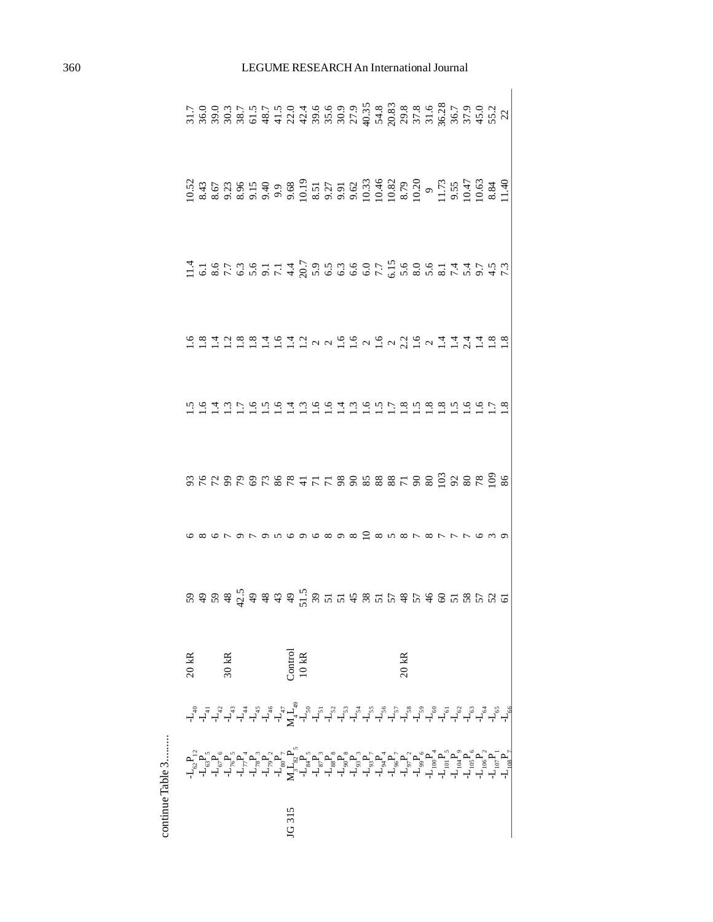| 11 68736114つ958007 5 585814175. 47416736114つ9520000 5 5 6 6 6 6 1 4 4 5 5 6 7                                                                                                                                                                                                                                                                                                                                                    |  |       |  |  |                    |                  |  |  |                                                         |  |                 |  |  |  |                                                                                                                                                                                                                                                                                                                                                                                                                                                                 |
|----------------------------------------------------------------------------------------------------------------------------------------------------------------------------------------------------------------------------------------------------------------------------------------------------------------------------------------------------------------------------------------------------------------------------------|--|-------|--|--|--------------------|------------------|--|--|---------------------------------------------------------|--|-----------------|--|--|--|-----------------------------------------------------------------------------------------------------------------------------------------------------------------------------------------------------------------------------------------------------------------------------------------------------------------------------------------------------------------------------------------------------------------------------------------------------------------|
|                                                                                                                                                                                                                                                                                                                                                                                                                                  |  |       |  |  |                    |                  |  |  |                                                         |  |                 |  |  |  |                                                                                                                                                                                                                                                                                                                                                                                                                                                                 |
|                                                                                                                                                                                                                                                                                                                                                                                                                                  |  |       |  |  |                    |                  |  |  |                                                         |  |                 |  |  |  |                                                                                                                                                                                                                                                                                                                                                                                                                                                                 |
|                                                                                                                                                                                                                                                                                                                                                                                                                                  |  |       |  |  |                    |                  |  |  | 5 2 2 3 2 3 2 3 3 4 5 6 7 8 9 8 8 8 8 7 8 9 9 9 8 9 9 8 |  |                 |  |  |  |                                                                                                                                                                                                                                                                                                                                                                                                                                                                 |
|                                                                                                                                                                                                                                                                                                                                                                                                                                  |  |       |  |  |                    |                  |  |  | o o ∞ o ∞ o ∞ co w ∞ r                                  |  |                 |  |  |  |                                                                                                                                                                                                                                                                                                                                                                                                                                                                 |
| $\begin{array}{l} \mathfrak{B} \mathfrak{A} \mathfrak{B} \mathfrak{B} \mathfrak{A} \mathfrak{C} \mathfrak{A} \mathfrak{A} \mathfrak{C} \mathfrak{A} \mathfrak{C} \mathfrak{C} \mathfrak{C} \mathfrak{C} \mathfrak{C} \mathfrak{C} \mathfrak{C} \mathfrak{C} \mathfrak{C} \mathfrak{C} \mathfrak{C} \mathfrak{C} \mathfrak{C} \mathfrak{C} \mathfrak{C} \mathfrak{C} \mathfrak{C} \mathfrak{C} \mathfrak{C} \mathfrak{C} \mathfr$ |  |       |  |  |                    |                  |  |  |                                                         |  |                 |  |  |  |                                                                                                                                                                                                                                                                                                                                                                                                                                                                 |
| $20$ kR                                                                                                                                                                                                                                                                                                                                                                                                                          |  | 30 kR |  |  |                    | Jontrol<br>10 kR |  |  |                                                         |  | $20 \text{ kR}$ |  |  |  |                                                                                                                                                                                                                                                                                                                                                                                                                                                                 |
|                                                                                                                                                                                                                                                                                                                                                                                                                                  |  |       |  |  |                    |                  |  |  |                                                         |  |                 |  |  |  | $\begin{array}{l} \mathcal{A} \ \mathcal{A} \ \mathcal{A} \ \mathcal{A} \ \mathcal{A} \ \mathcal{A} \ \mathcal{A} \ \mathcal{A} \ \mathcal{A} \ \mathcal{A} \ \mathcal{A} \ \mathcal{A} \ \mathcal{A} \ \mathcal{A} \ \mathcal{A} \ \mathcal{A} \ \mathcal{A} \ \mathcal{A} \ \mathcal{A} \ \mathcal{A} \ \mathcal{A} \ \mathcal{A} \ \mathcal{A} \ \mathcal{A} \ \mathcal{A} \ \mathcal{A} \ \mathcal{A} \ \mathcal{A} \ \mathcal{A} \ \mathcal{A} \ \mathcal$ |
|                                                                                                                                                                                                                                                                                                                                                                                                                                  |  |       |  |  |                    |                  |  |  |                                                         |  |                 |  |  |  |                                                                                                                                                                                                                                                                                                                                                                                                                                                                 |
|                                                                                                                                                                                                                                                                                                                                                                                                                                  |  |       |  |  | $\frac{1}{3}$<br>ğ |                  |  |  |                                                         |  |                 |  |  |  |                                                                                                                                                                                                                                                                                                                                                                                                                                                                 |

continue Table 3......... continue Table 3.........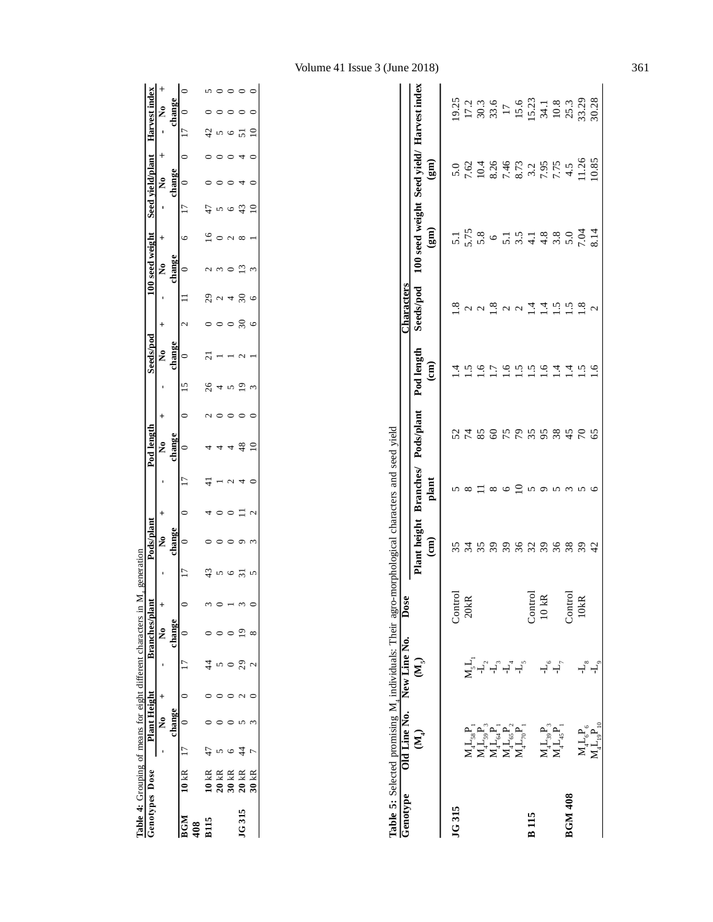|                | lable 4: Grouping of means for eight different characters in |                     |   |               | generation |            |   |            |  |           |   |               |            |      |             |   |  |
|----------------|--------------------------------------------------------------|---------------------|---|---------------|------------|------------|---|------------|--|-----------|---|---------------|------------|------|-------------|---|--|
| Genotypes Dose |                                                              | <b>Plant Height</b> |   | Branches/plar |            | Pods/plant |   | Pod lengt  |  | Seeds/pod |   | 00 seed weigh | Seed yield |      | Harvest inc |   |  |
|                |                                                              |                     |   | ź             |            |            |   |            |  |           |   |               |            | ź    |             | ź |  |
|                |                                                              | $change$            |   | change        |            | chang      |   |            |  |           |   |               |            | hang |             |   |  |
| BGM            | $10 kR$ 17                                                   |                     | ŗ |               | ŗ          |            | ŋ |            |  |           |   |               |            |      | ŗ           |   |  |
| 408            |                                                              |                     |   |               |            |            |   |            |  |           |   |               |            |      |             |   |  |
|                | $10~\mathrm{kR}$                                             |                     |   |               | 43         |            |   |            |  |           |   |               |            |      |             |   |  |
|                | <b>20 kR</b>                                                 |                     |   |               |            |            |   |            |  |           |   |               |            |      |             |   |  |
|                | 30 kR                                                        |                     |   |               |            |            |   |            |  |           |   |               |            |      |             |   |  |
| JG315          | 20 kR                                                        |                     |   |               |            |            |   |            |  |           |   |               |            |      |             |   |  |
|                | 30 kR                                                        |                     |   |               |            |            |   | $\breve{}$ |  |           | c |               | ς          |      |             |   |  |
|                |                                                              |                     |   |               |            |            |   |            |  |           |   |               |            |      |             |   |  |

| Genotype       |                                                                                                                                                                                                                                                                                                                                                                          | Old Line No. New Line No. Dose<br>Table 5: Selected promising M <sub>a</sub> individuals: Their agro |                  |                                            |                   |             |                                       | haracters                                                   |                                                     |                                                                                                                                                                                                                                                                                                       |                                                                                                                                                                                                                                                                                                     |
|----------------|--------------------------------------------------------------------------------------------------------------------------------------------------------------------------------------------------------------------------------------------------------------------------------------------------------------------------------------------------------------------------|------------------------------------------------------------------------------------------------------|------------------|--------------------------------------------|-------------------|-------------|---------------------------------------|-------------------------------------------------------------|-----------------------------------------------------|-------------------------------------------------------------------------------------------------------------------------------------------------------------------------------------------------------------------------------------------------------------------------------------------------------|-----------------------------------------------------------------------------------------------------------------------------------------------------------------------------------------------------------------------------------------------------------------------------------------------------|
|                | $(\mathbf{M})$                                                                                                                                                                                                                                                                                                                                                           | $\widetilde{\mathbf{M}}_S$                                                                           |                  | Plant heigh <sup>.</sup><br>$\binom{2}{3}$ | Branches<br>plant | Pods/plan   | Pod lengtr<br>$\widehat{\texttt{em}}$ | Seeds/nod                                                   | 00 seed weight Seed vield<br>$\widehat{\mathbf{g}}$ | $\left(\mathbf{m}\right)$                                                                                                                                                                                                                                                                             |                                                                                                                                                                                                                                                                                                     |
| JG315          |                                                                                                                                                                                                                                                                                                                                                                          |                                                                                                      |                  |                                            |                   |             |                                       |                                                             |                                                     |                                                                                                                                                                                                                                                                                                       |                                                                                                                                                                                                                                                                                                     |
|                |                                                                                                                                                                                                                                                                                                                                                                          |                                                                                                      | Control<br>20kR  | $\overline{34}$                            |                   | <b>2222</b> |                                       | $\frac{8}{1}$ a a                                           |                                                     |                                                                                                                                                                                                                                                                                                       |                                                                                                                                                                                                                                                                                                     |
|                |                                                                                                                                                                                                                                                                                                                                                                          |                                                                                                      |                  | న ని                                       |                   |             | $\tilde{e}$                           |                                                             |                                                     |                                                                                                                                                                                                                                                                                                       |                                                                                                                                                                                                                                                                                                     |
|                | $\begin{array}{l} \mathbf{X}_1^{\mathsf{T}}, \mathbf{Y}_2^{\mathsf{T}}, \mathbf{Y}_3^{\mathsf{T}},\\ \mathbf{X}_1^{\mathsf{T}}, \mathbf{Y}_2^{\mathsf{T}}, \mathbf{Y}_3^{\mathsf{T}},\\ \mathbf{X}_1^{\mathsf{T}}, \mathbf{Y}_2^{\mathsf{T}}, \mathbf{Y}_3^{\mathsf{T}},\\ \mathbf{X}_2^{\mathsf{T}}, \mathbf{Y}_3^{\mathsf{T}}, \mathbf{Y}_4^{\mathsf{T}}. \end{array}$ | ֢֚<br>׆ׇ֧֪֪֪׀ׇׇ׆ׅ֩<br>ׇׇׇׇׇׇׇׇׇׇ֪֪֪֪֪֪֛֪֛֛֞֞                                                         |                  |                                            |                   |             | Ξ                                     |                                                             |                                                     | $\begin{array}{c} 5.0 \\ 7.62 \\ 1.046 \\ 2.466 \\ 3.746 \\ 4.73 \\ 5.73 \\ 6.73 \\ 7.73 \\ 7.74 \\ 7.74 \\ 1.26 \\ 1.085 \\ 1.085 \\ 1.085 \\ 1.085 \\ 1.085 \\ 1.085 \\ 1.085 \\ 1.085 \\ 1.085 \\ 1.085 \\ 1.085 \\ 1.085 \\ 1.085 \\ 1.085 \\ 1.085 \\ 1.085 \\ 1.085 \\ 1.085 \\ 1.085 \\ 1.085$ | $\begin{array}{l} 25.75 \\ 17.75 \\ 17.75 \\ 23.56 \\ 17.6 \\ 17.75 \\ 25.75 \\ 25.75 \\ 25.75 \\ 25.75 \\ 25.75 \\ 25.75 \\ 25.75 \\ 25.75 \\ 25.75 \\ 25.75 \\ 25.75 \\ 25.75 \\ 25.75 \\ 25.75 \\ 25.75 \\ 25.75 \\ 25.75 \\ 25.75 \\ 25.75 \\ 25.75 \\ 25.75 \\ 25.75 \\ 25.75 \\ 25.75 \\ 25.$ |
|                |                                                                                                                                                                                                                                                                                                                                                                          |                                                                                                      |                  |                                            |                   | ERER ER ER  | $\tilde{a}$                           | $\frac{8}{1}$ $\alpha$ $\alpha$ $\frac{4}{1}$ $\frac{4}{1}$ |                                                     |                                                                                                                                                                                                                                                                                                       |                                                                                                                                                                                                                                                                                                     |
|                |                                                                                                                                                                                                                                                                                                                                                                          |                                                                                                      |                  |                                            |                   |             |                                       |                                                             |                                                     |                                                                                                                                                                                                                                                                                                       |                                                                                                                                                                                                                                                                                                     |
| <b>B115</b>    |                                                                                                                                                                                                                                                                                                                                                                          |                                                                                                      |                  |                                            |                   |             | ی بہ بہ<br>1 – 1                      |                                                             |                                                     |                                                                                                                                                                                                                                                                                                       |                                                                                                                                                                                                                                                                                                     |
|                |                                                                                                                                                                                                                                                                                                                                                                          |                                                                                                      | Control<br>10 kR |                                            |                   |             |                                       |                                                             |                                                     |                                                                                                                                                                                                                                                                                                       |                                                                                                                                                                                                                                                                                                     |
|                | $\mathbf{M}_4\mathbf{L}_{39}\mathbf{P}_3$ $\mathbf{M}_4\mathbf{L}_4\mathbf{P}_1$                                                                                                                                                                                                                                                                                         | よい                                                                                                   |                  |                                            |                   |             | $\overline{1}$                        | יי בי $\sim$                                                |                                                     |                                                                                                                                                                                                                                                                                                       |                                                                                                                                                                                                                                                                                                     |
| <b>BGM 408</b> |                                                                                                                                                                                                                                                                                                                                                                          |                                                                                                      | Control<br>10kR  |                                            |                   |             |                                       |                                                             |                                                     |                                                                                                                                                                                                                                                                                                       |                                                                                                                                                                                                                                                                                                     |
|                |                                                                                                                                                                                                                                                                                                                                                                          |                                                                                                      |                  | 220228224                                  |                   |             | $\frac{4}{1}$<br>$\frac{1}{2}$        |                                                             |                                                     |                                                                                                                                                                                                                                                                                                       |                                                                                                                                                                                                                                                                                                     |
|                | $M_4^L L_6^P$ <sub>6</sub><br>$M_4^L L_9^P$ <sub>10</sub>                                                                                                                                                                                                                                                                                                                | もっ                                                                                                   |                  |                                            |                   |             |                                       |                                                             |                                                     |                                                                                                                                                                                                                                                                                                       |                                                                                                                                                                                                                                                                                                     |

L4 19P10 -L9 42 6 65 1.6 2 8.14 10.85 30.28

 $\mathbf{M}_4\mathbf{L}_6\mathbf{P}_6$   $\mathbf{M}_4\mathbf{L}_{19}\mathbf{P}_{10}$ 

# Volume 41 Issue 3 (June 2018) 361